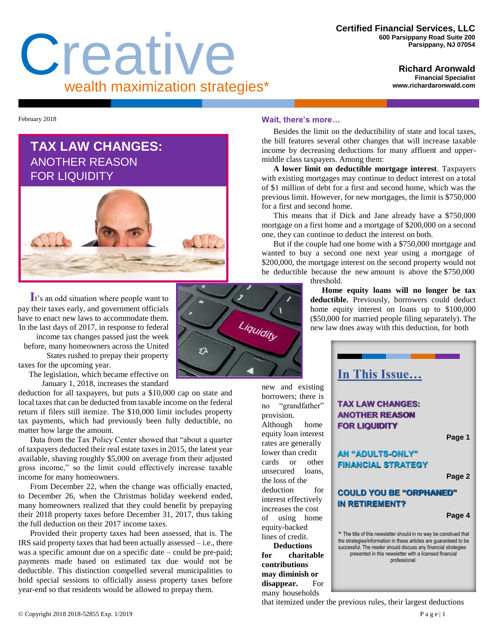# Creative wealth maximization strategies\*

**Richard Aronwald Financial Specialist [www.richardaronwald.com](http://www.richardaronwald.com/)**

February 2018

## **TAX LAW CHANGES:**  ANOTHER REASON FOR LIQUIDITY



**I**t's an odd situation where people want to pay their taxes early, and government officials have to enact new laws to accommodate them. In the last days of 2017, in response to federal

income tax changes passed just the week before, many homeowners across the United States rushed to prepay their property taxes for the upcoming year.

The legislation, which became effective on

January 1, 2018, increases the standard

deduction for all taxpayers, but puts a \$10,000 cap on state and local taxes that can be deducted from taxable income on the federal return if filers still itemize. The \$10,000 limit includes property tax payments, which had previously been fully deductible, no matter how large the amount.

Data from the Tax Policy Center showed that "about a quarter of taxpayers deducted their real estate taxes in 2015, the latest year available, shaving roughly \$5,000 on average from their adjusted gross income," so the limit could effectively increase taxable income for many homeowners.

From December 22, when the change was officially enacted, to December 26, when the Christmas holiday weekend ended, many homeowners realized that they could benefit by prepaying their 2018 property taxes before December 31, 2017, thus taking the full deduction on their 2017 income taxes.

Provided their property taxes had been assessed, that is. The IRS said property taxes that had been actually assessed – i.e., there was a specific amount due on a specific date – could be pre-paid; payments made based on estimated tax due would not be deductible. This distinction compelled several municipalities to hold special sessions to officially assess property taxes before year-end so that residents would be allowed to prepay them.

### **Wait, there's more…**

Besides the limit on the deductibility of state and local taxes, the bill features several other changes that will increase taxable income by decreasing deductions for many affluent and uppermiddle class taxpayers. Among them:

**A lower limit on deductible mortgage interest**. Taxpayers with existing mortgages may continue to deduct interest on a total of \$1 million of debt for a first and second home, which was the previous limit. However, for new mortgages, the limit is \$750,000 for a first and second home.

This means that if Dick and Jane already have a \$750,000 mortgage on a first home and a mortgage of \$200,000 on a second one, they can continue to deduct the interest on both.

But if the couple had one home with a \$750,000 mortgage and wanted to buy a second one next year using a mortgage of \$200,000, the mortgage interest on the second property would not be deductible because the new amount is above the \$750,000 threshold.

**Home equity loans will no longer be tax deductible.** Previously, borrowers could deduct home equity interest on loans up to \$100,000 (\$50,000 for married people filing separately). The new law does away with this deduction, for both





provision.

the loss of the

equity-backed lines of credit. **Deductions**

**contributions** 

that itemized under the previous rules, their largest deductions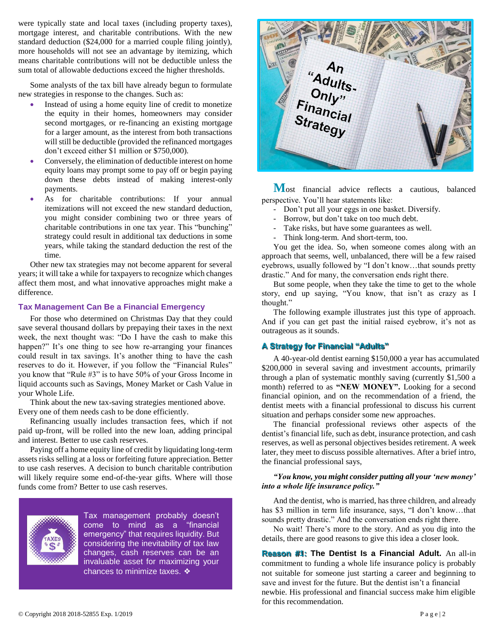were typically state and local taxes (including property taxes), mortgage interest, and charitable contributions. With the new standard deduction (\$24,000 for a married couple filing jointly), more households will not see an advantage by itemizing, which means charitable contributions will not be deductible unless the sum total of allowable deductions exceed the higher thresholds.

Some analysts of the tax bill have already begun to formulate new strategies in response to the changes. Such as:

- Instead of using a home equity line of credit to monetize the equity in their homes, homeowners may consider second mortgages, or re-financing an existing mortgage for a larger amount, as the interest from both transactions will still be deductible (provided the refinanced mortgages don't exceed either \$1 million or \$750,000).
- Conversely, the elimination of deductible interest on home equity loans may prompt some to pay off or begin paying down these debts instead of making interest-only payments.
- As for charitable contributions: If your annual itemizations will not exceed the new standard deduction, you might consider combining two or three years of charitable contributions in one tax year. This "bunching" strategy could result in additional tax deductions in some years, while taking the standard deduction the rest of the time.

Other new tax strategies may not become apparent for several years; it will take a while for taxpayers to recognize which changes affect them most, and what innovative approaches might make a difference.

#### **Tax Management Can Be a Financial Emergency**

For those who determined on Christmas Day that they could save several thousand dollars by prepaying their taxes in the next week, the next thought was: "Do I have the cash to make this happen?" It's one thing to see how re-arranging your finances could result in tax savings. It's another thing to have the cash reserves to do it. However, if you follow the "Financial Rules" you know that "Rule #3" is to have 50% of your Gross Income in liquid accounts such as Savings, Money Market or Cash Value in your Whole Life.

Think about the new tax-saving strategies mentioned above. Every one of them needs cash to be done efficiently.

Refinancing usually includes transaction fees, which if not paid up-front, will be rolled into the new loan, adding principal and interest. Better to use cash reserves.

Paying off a home equity line of credit by liquidating long-term assets risks selling at a loss or forfeiting future appreciation. Better to use cash reserves. A decision to bunch charitable contribution will likely require some end-of-the-year gifts. Where will those funds come from? Better to use cash reserves.



Tax management probably doesn't come to mind as a "financial emergency" that requires liquidity. But considering the inevitability of tax law changes, cash reserves can be an invaluable asset for maximizing your chances to minimize taxes. ❖

An<br>Adults-<br>Conly"<br>Financial<br>Strate-Strategy

**M**ost financial advice reflects a cautious, balanced perspective. You'll hear statements like:

- Don't put all your eggs in one basket. Diversify.
- Borrow, but don't take on too much debt.
- Take risks, but have some guarantees as well.
- Think long-term. And short-term, too.

You get the idea. So, when someone comes along with an approach that seems, well, unbalanced, there will be a few raised eyebrows, usually followed by "I don't know…that sounds pretty drastic." And for many, the conversation ends right there.

But some people, when they take the time to get to the whole story, end up saying, "You know, that isn't as crazy as I thought."

The following example illustrates just this type of approach. And if you can get past the initial raised eyebrow, it's not as outrageous as it sounds.

#### **A Strategy for Financial "Adults"**

A 40-year-old dentist earning \$150,000 a year has accumulated \$200,000 in several saving and investment accounts, primarily through a plan of systematic monthly saving (currently \$1,500 a month) referred to as **"NEW MONEY".** Looking for a second financial opinion, and on the recommendation of a friend, the dentist meets with a financial professional to discuss his current situation and perhaps consider some new approaches.

The financial professional reviews other aspects of the dentist's financial life, such as debt, insurance protection, and cash reserves, as well as personal objectives besides retirement. A week later, they meet to discuss possible alternatives. After a brief intro, the financial professional says,

#### *"You know, you might consider putting all your 'new money' into a whole life insurance policy."*

And the dentist, who is married, has three children, and already has \$3 million in term life insurance, says, "I don't know…that sounds pretty drastic." And the conversation ends right there.

No wait! There's more to the story. And as you dig into the details, there are good reasons to give this idea a closer look.

**Reason #1: The Dentist Is a Financial Adult.** An all-in commitment to funding a whole life insurance policy is probably not suitable for someone just starting a career and beginning to save and invest for the future. But the dentist isn't a financial newbie. His professional and financial success make him eligible for this recommendation.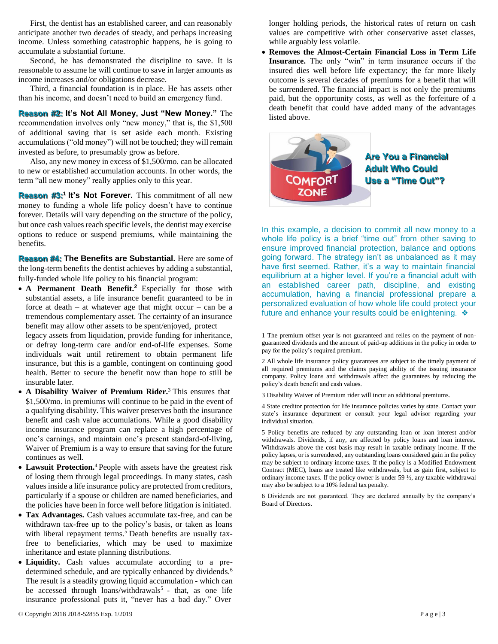First, the dentist has an established career, and can reasonably anticipate another two decades of steady, and perhaps increasing income. Unless something catastrophic happens, he is going to accumulate a substantial fortune.

Second, he has demonstrated the discipline to save. It is reasonable to assume he will continue to save in larger amounts as income increases and/or obligations decrease.

Third, a financial foundation is in place. He has assets other than his income, and doesn't need to build an emergency fund.

**Reason #2: It's Not All Money, Just "New Money."** The recommendation involves only "new money," that is, the \$1,500 of additional saving that is set aside each month. Existing accumulations ("old money") will not be touched; they will remain invested as before, to presumably grow as before.

Also, any new money in excess of \$1,500/mo. can be allocated to new or established accumulation accounts. In other words, the term "all new money" really applies only to this year.

**Reason #3:<sup>1</sup>It's Not Forever.** This commitment of all new money to funding a whole life policy doesn't have to continue forever. Details will vary depending on the structure of the policy, but once cash values reach specific levels, the dentist may exercise options to reduce or suspend premiums, while maintaining the benefits.

**Reason #4: The Benefits are Substantial.** Here are some of the long-term benefits the dentist achieves by adding a substantial, fully-funded whole life policy to his financial program:

• A Permanent Death Benefit.<sup>2</sup> Especially for those with substantial assets, a life insurance benefit guaranteed to be in force at death – at whatever age that might occur – can be a tremendous complementary asset. The certainty of an insurance benefit may allow other assets to be spent/enjoyed, protect

legacy assets from liquidation, provide funding for inheritance, or defray long-term care and/or end-of-life expenses. Some individuals wait until retirement to obtain permanent life insurance, but this is a gamble, contingent on continuing good health. Better to secure the benefit now than hope to still be insurable later.

- **A Disability Waiver of Premium Rider.**<sup>3</sup> This ensures that \$1,500/mo. in premiums will continue to be paid in the event of a qualifying disability. This waiver preserves both the insurance benefit and cash value accumulations. While a good disability income insurance program can replace a high percentage of one's earnings, and maintain one's present standard-of-living, Waiver of Premium is a way to ensure that saving for the future continues as well.
- Lawsuit Protection.<sup>4</sup> People with assets have the greatest risk of losing them through legal proceedings. In many states, cash values inside a life insurance policy are protected from creditors, particularly if a spouse or children are named beneficiaries, and the policies have been in force well before litigation is initiated.
- **Tax Advantages.** Cash values accumulate tax-free, and can be withdrawn tax-free up to the policy's basis, or taken as loans with liberal repayment terms.<sup>5</sup> Death benefits are usually taxfree to beneficiaries, which may be used to maximize inheritance and estate planning distributions.
- **Liquidity.** Cash values accumulate according to a predetermined schedule, and are typically enhanced by dividends.<sup>6</sup> The result is a steadily growing liquid accumulation - which can be accessed through loans/withdrawals<sup>5</sup> - that, as one life insurance professional puts it, "never has a bad day." Over

longer holding periods, the historical rates of return on cash values are competitive with other conservative asset classes, while arguably less volatile.

• **Removes the Almost-Certain Financial Loss in Term Life Insurance.** The only "win" in term insurance occurs if the insured dies well before life expectancy; the far more likely outcome is several decades of premiums for a benefit that will be surrendered. The financial impact is not only the premiums paid, but the opportunity costs, as well as the forfeiture of a death benefit that could have added many of the advantages listed above.



**Are You a Financial Adult Who Could Use a "Time Out"?**

In this example, a decision to commit all new money to a whole life policy is a brief "time out" from other saving to ensure improved financial protection, balance and options going forward. The strategy isn't as unbalanced as it may have first seemed. Rather, it's a way to maintain financial equilibrium at a higher level. If you're a financial adult with an established career path, discipline, and existing accumulation, having a financial professional prepare a personalized evaluation of how whole life could protect your future and enhance your results could be enlightening. ❖

1 The premium offset year is not guaranteed and relies on the payment of nonguaranteed dividends and the amount of paid-up additions in the policy in order to pay for the policy's required premium.

2 All whole life insurance policy guarantees are subject to the timely payment of all required premiums and the claims paying ability of the issuing insurance company. Policy loans and withdrawals affect the guarantees by reducing the policy's death benefit and cash values.

3 Disability Waiver of Premium rider will incur an additionalpremiums.

4 State creditor protection for life insurance policies varies by state. Contact your state's insurance department or consult your legal advisor regarding your individual situation.

5 Policy benefits are reduced by any outstanding loan or loan interest and/or withdrawals. Dividends, if any, are affected by policy loans and loan interest. Withdrawals above the cost basis may result in taxable ordinary income. If the policy lapses, or is surrendered, any outstanding loans considered gain in the policy may be subject to ordinary income taxes. If the policy is a Modified Endowment Contract (MEC), loans are treated like withdrawals, but as gain first, subject to ordinary income taxes. If the policy owner is under 59 ½, any taxable withdrawal may also be subject to a 10% federal tax penalty.

6 Dividends are not guaranteed. They are declared annually by the company's Board of Directors.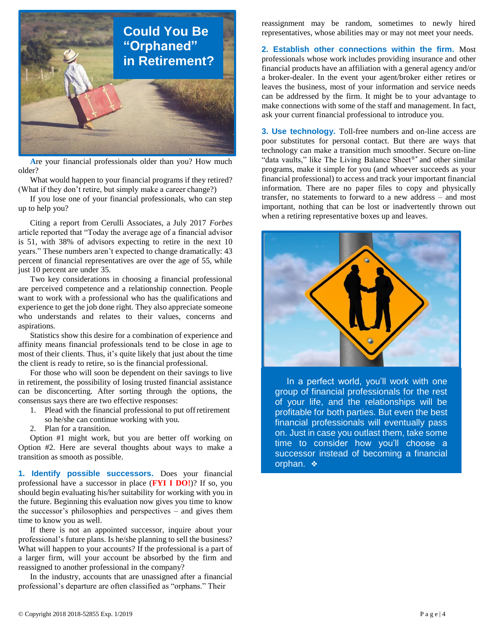

**A**re your financial professionals older than you? How much older?

What would happen to your financial programs if they retired? (What if they don't retire, but simply make a career change?)

If you lose one of your financial professionals, who can step up to help you?

Citing a report from Cerulli Associates, a July 2017 *Forbes*  article reported that "Today the average age of a financial advisor is 51, with 38% of advisors expecting to retire in the next 10 years." These numbers aren't expected to change dramatically: 43 percent of financial representatives are over the age of 55, while just 10 percent are under 35.

Two key considerations in choosing a financial professional are perceived competence and a relationship connection. People want to work with a professional who has the qualifications and experience to get the job done right. They also appreciate someone who understands and relates to their values, concerns and aspirations.

Statistics show this desire for a combination of experience and affinity means financial professionals tend to be close in age to most of their clients. Thus, it's quite likely that just about the time the client is ready to retire, so is the financial professional.

For those who will soon be dependent on their savings to live in retirement, the possibility of losing trusted financial assistance can be disconcerting. After sorting through the options, the consensus says there are two effective responses:

- 1. Plead with the financial professional to put offretirement
	- so he/she can continue working with you.
- 2. Plan for a transition.

Option #1 might work, but you are better off working on Option #2. Here are several thoughts about ways to make a transition as smooth as possible.

**1. Identify possible successors.** Does your financial professional have a successor in place (**FYI I DO!**)? If so, you should begin evaluating his/her suitability for working with you in the future. Beginning this evaluation now gives you time to know the successor's philosophies and perspectives – and gives them time to know you as well.

If there is not an appointed successor, inquire about your professional's future plans. Is he/she planning to sell the business? What will happen to your accounts? If the professional is a part of a larger firm, will your account be absorbed by the firm and reassigned to another professional in the company?

In the industry, accounts that are unassigned after a financial professional's departure are often classified as "orphans." Their

reassignment may be random, sometimes to newly hired representatives, whose abilities may or may not meet your needs.

**2. Establish other connections within the firm.** Most professionals whose work includes providing insurance and other financial products have an affiliation with a general agency and/or a broker-dealer. In the event your agent/broker either retires or leaves the business, most of your information and service needs can be addressed by the firm. It might be to your advantage to make connections with some of the staff and management. In fact, ask your current financial professional to introduce you.

**3. Use technology.** Toll-free numbers and on-line access are poor substitutes for personal contact. But there are ways that technology can make a transition much smoother. Secure on-line "data vaults," like The Living Balance Sheet®\* and other similar programs, make it simple for you (and whoever succeeds as your financial professional) to access and track your important financial information. There are no paper files to copy and physically transfer, no statements to forward to a new address – and most important, nothing that can be lost or inadvertently thrown out when a retiring representative boxes up and leaves.



In a perfect world, you'll work with one group of financial professionals for the rest of your life, and the relationships will be profitable for both parties. But even the best financial professionals will eventually pass on. Just in case you outlast them, take some time to consider how you'll choose a successor instead of becoming a financial orphan. ❖